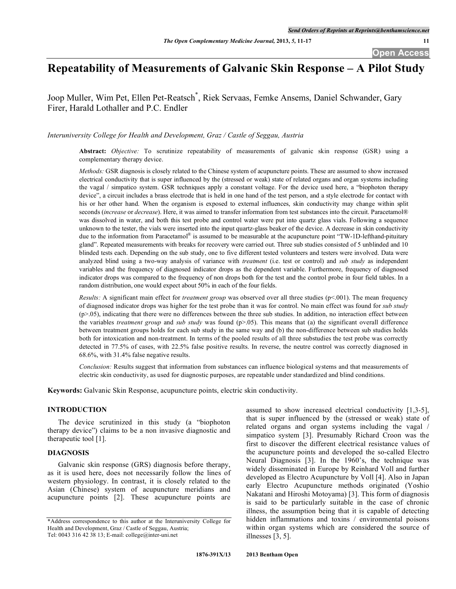# **Repeatability of Measurements of Galvanic Skin Response – A Pilot Study**

Joop Muller, Wim Pet, Ellen Pet-Reatsch\* , Riek Servaas, Femke Ansems, Daniel Schwander, Gary Firer, Harald Lothaller and P.C. Endler

*Interuniversity College for Health and Development, Graz / Castle of Seggau, Austria*

**Abstract:** *Objective:* To scrutinize repeatability of measurements of galvanic skin response (GSR) using a complementary therapy device.

*Methods:* GSR diagnosis is closely related to the Chinese system of acupuncture points. These are assumed to show increased electrical conductivity that is super influenced by the (stressed or weak) state of related organs and organ systems including the vagal / simpatico system. GSR techniques apply a constant voltage. For the device used here, a "biophoton therapy device", a circuit includes a brass electrode that is held in one hand of the test person, and a style electrode for contact with his or her other hand. When the organism is exposed to external influences, skin conductivity may change within split seconds (*increase* or *decrease*). Here, it was aimed to transfer information from test substances into the circuit. Paracetamol® was dissolved in water, and both this test probe and control water were put into quartz glass vials. Following a sequence unknown to the tester, the vials were inserted into the input quartz-glass beaker of the device. A decrease in skin conductivity due to the information from Paracetamol<sup>®</sup> is assumed to be measurable at the acupuncture point "TW-1D-lefthand-pituitary gland". Repeated measurements with breaks for recovery were carried out. Three sub studies consisted of 5 unblinded and 10 blinded tests each. Depending on the sub study, one to five different tested volunteers and testers were involved. Data were analyzed blind using a two-way analysis of variance with *treatment* (i.e. test or control) and *sub study* as independent variables and the frequency of diagnosed indicator drops as the dependent variable. Furthermore, frequency of diagnosed indicator drops was compared to the frequency of non drops both for the test and the control probe in four field tables. In a random distribution, one would expect about 50% in each of the four fields.

*Results:* A significant main effect for *treatment group* was observed over all three studies (p<.001). The mean frequency of diagnosed indicator drops was higher for the test probe than it was for control. No main effect was found for *sub study*  $(p>0.05)$ , indicating that there were no differences between the three sub studies. In addition, no interaction effect between the variables *treatment group* and *sub study* was found (p>.05). This means that (a) the significant overall difference between treatment groups holds for each sub study in the same way and (b) the non-difference between sub studies holds both for intoxication and non-treatment. In terms of the pooled results of all three substudies the test probe was correctly detected in 77.5% of cases, with 22.5% false positive results. In reverse, the neutre control was correctly diagnosed in 68.6%, with 31.4% false negative results.

*Conclusion:* Results suggest that information from substances can influence biological systems and that measurements of electric skin conductivity, as used for diagnostic purposes, are repeatable under standardized and blind conditions.

**Keywords:** Galvanic Skin Response, acupuncture points, electric skin conductivity.

# **INTRODUCTION**

The device scrutinized in this study (a "biophoton therapy device") claims to be a non invasive diagnostic and therapeutic tool [1].

#### **DIAGNOSIS**

Galvanic skin response (GRS) diagnosis before therapy, as it is used here, does not necessarily follow the lines of western physiology. In contrast, it is closely related to the Asian (Chinese) system of acupuncture meridians and acupuncture points [2]. These acupuncture points are

assumed to show increased electrical conductivity [1,3-5], that is super influenced by the (stressed or weak) state of related organs and organ systems including the vagal / simpatico system [3]. Presumably Richard Croon was the first to discover the different electrical resistance values of the acupuncture points and developed the so-called Electro Neural Diagnosis [3]. In the 1960's, the technique was widely disseminated in Europe by Reinhard Voll and further developed as Electro Acupuncture by Voll [4]. Also in Japan early Electro Acupuncture methods originated (Yoshio Nakatani and Hiroshi Motoyama) [3]. This form of diagnosis is said to be particularly suitable in the case of chronic illness, the assumption being that it is capable of detecting hidden inflammations and toxins / environmental poisons within organ systems which are considered the source of illnesses [3, 5].

<sup>\*</sup>Address correspondence to this author at the Interuniversity College for Health and Development, Graz / Castle of Seggau, Austria; Tel: 0043 316 42 38 13; E-mail: college@inter-uni.net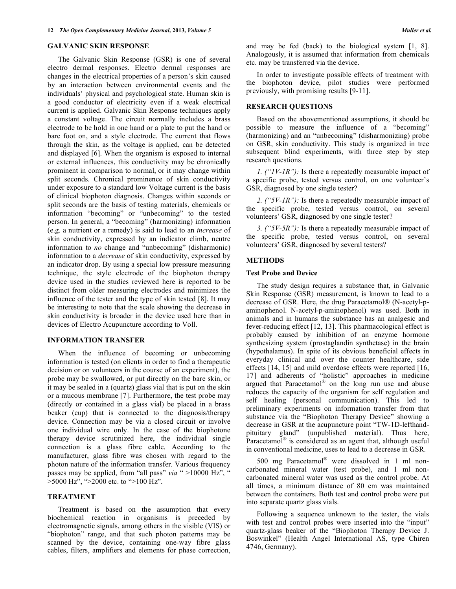### **GALVANIC SKIN RESPONSE**

The Galvanic Skin Response (GSR) is one of several electro dermal responses. Electro dermal responses are changes in the electrical properties of a person's skin caused by an interaction between environmental events and the individuals' physical and psychological state. Human skin is a good conductor of electricity even if a weak electrical current is applied. Galvanic Skin Response techniques apply a constant voltage. The circuit normally includes a brass electrode to be hold in one hand or a plate to put the hand or bare foot on, and a style electrode. The current that flows through the skin, as the voltage is applied, can be detected and displayed [6]. When the organism is exposed to internal or external influences, this conductivity may be chronically prominent in comparison to normal, or it may change within split seconds. Chronical prominence of skin conductivity under exposure to a standard low Voltage current is the basis of clinical biophoton diagnosis. Changes within seconds or split seconds are the basis of testing materials, chemicals or information "becoming" or "unbecoming" to the tested person. In general, a "becoming" (harmonizing) information (e.g. a nutrient or a remedy) is said to lead to an *increase* of skin conductivity, expressed by an indicator climb, neutre information to *no* change and "unbecoming" (disharmonic) information to a *decrease* of skin conductivity, expressed by an indicator drop. By using a special low pressure measuring technique, the style electrode of the biophoton therapy device used in the studies reviewed here is reported to be distinct from older measuring electrodes and minimizes the influence of the tester and the type of skin tested [8]. It may be interesting to note that the scale showing the decrease in skin conductivity is broader in the device used here than in devices of Electro Acupuncture according to Voll.

# **INFORMATION TRANSFER**

When the influence of becoming or unbecoming information is tested (on clients in order to find a therapeutic decision or on volunteers in the course of an experiment), the probe may be swallowed, or put directly on the bare skin, or it may be sealed in a (quartz) glass vial that is put on the skin or a mucous membrane [7]. Furthermore, the test probe may (directly or contained in a glass vial) be placed in a brass beaker (cup) that is connected to the diagnosis/therapy device. Connection may be via a closed circuit or involve one individual wire only. In the case of the biophotone therapy device scrutinized here, the individual single connection is a glass fibre cable. According to the manufacturer, glass fibre was chosen with regard to the photon nature of the information transfer. Various frequency passes may be applied, from "all pass" *via* " >10000 Hz", " >5000 Hz", ">2000 etc. to ">100 Hz".

### **TREATMENT**

Treatment is based on the assumption that every biochemical reaction in organisms is preceded by electromagnetic signals, among others in the visible (VIS) or "biophoton" range, and that such photon patterns may be scanned by the device, containing one-way fibre glass cables, filters, amplifiers and elements for phase correction,

and may be fed (back) to the biological system [1, 8]. Analogously, it is assumed that information from chemicals etc. may be transferred via the device.

In order to investigate possible effects of treatment with the biophoton device, pilot studies were performed previously, with promising results [9-11].

# **RESEARCH QUESTIONS**

Based on the abovementioned assumptions, it should be possible to measure the influence of a "becoming" (harmonizing) and an "unbecoming" (disharmonizing) probe on GSR, skin conductivity. This study is organized in tree subsequent blind experiments, with three step by step research questions.

*1. ("1V-1R"):* Is there a repeatedly measurable impact of a specific probe, tested versus control, on one volunteer's GSR, diagnosed by one single tester?

*2. ("5V-1R"):* Is there a repeatedly measurable impact of the specific probe, tested versus control, on several volunteers' GSR, diagnosed by one single tester?

*3. ("5V-5R"):* Is there a repeatedly measurable impact of the specific probe, tested versus control, on several volunteers' GSR, diagnosed by several testers?

#### **METHODS**

### **Test Probe and Device**

The study design requires a substance that, in Galvanic Skin Response (GSR) measurement, is known to lead to a decrease of GSR. Here, the drug Paracetamol® (N-acetyl-paminophenol. N-acetyl-p-aminophenol) was used. Both in animals and in humans the substance has an analgesic and fever-reducing effect [12, 13]. This pharmacological effect is probably caused by inhibition of an enzyme hormone synthesizing system (prostaglandin synthetase) in the brain (hypothalamus). In spite of its obvious beneficial effects in everyday clinical and over the counter healthcare, side effects [14, 15] and mild overdose effects were reported [16, 17] and adherents of "holistic" approaches in medicine argued that Paracetamol<sup>®</sup> on the long run use and abuse reduces the capacity of the organism for self regulation and self healing (personal communication). This led to preliminary experiments on information transfer from that substance via the "Biophoton Therapy Device" showing a decrease in GSR at the acupuncture point "TW-1D-lefthandpituitary gland" (unpublished material). Thus here, Paracetamol<sup>®</sup> is considered as an agent that, although useful in conventional medicine, uses to lead to a decrease in GSR.

500 mg Paracetamol ® were dissolved in 1 ml noncarbonated mineral water (test probe), and 1 ml noncarbonated mineral water was used as the control probe. At all times, a minimum distance of 80 cm was maintained between the containers. Both test and control probe were put into separate quartz glass vials.

Following a sequence unknown to the tester, the vials with test and control probes were inserted into the "input" quartz-glass beaker of the "Biophoton Therapy Device J. Boswinkel" (Health Angel International AS, type Chiren 4746, Germany).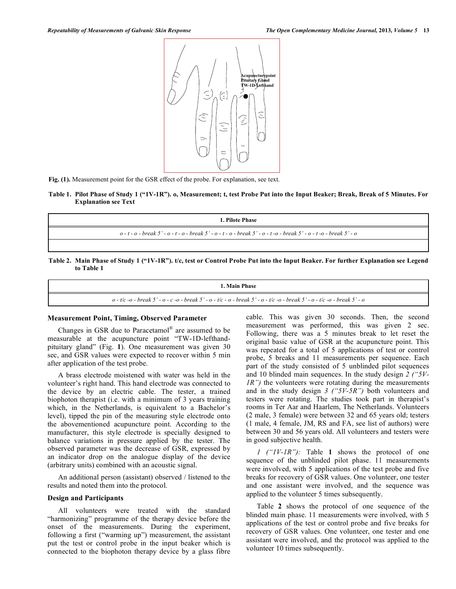

**Fig. (1).** Measurement point for the GSR effect of the probe. For explanation, see text.

**Table 1. Pilot Phase of Study 1 ("1V-1R"). o, Measurement; t, test Probe Put into the Input Beaker; Break, Break of 5 Minutes. For Explanation see Text**

| 1. Pilote Phase                                                                                                                  |  |
|----------------------------------------------------------------------------------------------------------------------------------|--|
| $o - t - o$ - break 5' - $o - t - o$ - break 5' - $o - t - o$ - break 5' - $o - t - o$ - break 5' - $o - t - o$ - break 5' - $o$ |  |
|                                                                                                                                  |  |

**Table 2. Main Phase of Study 1 ("1V-1R"). t/c, test or Control Probe Put into the Input Beaker. For further Explanation see Legend to Table 1**

#### **1. Main Phase**

*o - t/c -o - break 5' - o - c -o - break 5' - o - t/c - o - break 5' - o - t/c -o - break 5' - o - t/c -o - break 5' - o*

# **Measurement Point, Timing, Observed Parameter**

Changes in GSR due to Paracetamol® are assumed to be measurable at the acupuncture point "TW-1D-lefthandpituitary gland" (Fig. **1**). One measurement was given 30 sec, and GSR values were expected to recover within 5 min after application of the test probe.

A brass electrode moistened with water was held in the volunteer's right hand. This hand electrode was connected to the device by an electric cable. The tester, a trained biophoton therapist (i.e. with a minimum of 3 years training which, in the Netherlands, is equivalent to a Bachelor's level), tipped the pin of the measuring style electrode onto the abovementioned acupuncture point. According to the manufacturer, this style electrode is specially designed to balance variations in pressure applied by the tester. The observed parameter was the decrease of GSR, expressed by an indicator drop on the analogue display of the device (arbitrary units) combined with an acoustic signal.

An additional person (assistant) observed / listened to the results and noted them into the protocol.

## **Design and Participants**

All volunteers were treated with the standard "harmonizing" programme of the therapy device before the onset of the measurements. During the experiment, following a first ("warming up") measurement, the assistant put the test or control probe in the input beaker which is connected to the biophoton therapy device by a glass fibre

cable. This was given 30 seconds. Then, the second measurement was performed, this was given 2 sec. Following, there was a 5 minutes break to let reset the original basic value of GSR at the acupuncture point. This was repeated for a total of 5 applications of test or control probe, 5 breaks and 11 measurements per sequence. Each part of the study consisted of 5 unblinded pilot sequences and 10 blinded main sequences. In the study design *2 ("5V-IR"*) the volunteers were rotating during the measurements and in the study design *3 ("5V-5R")* both volunteers and testers were rotating. The studies took part in therapist's rooms in Ter Aar and Haarlem, The Netherlands. Volunteers (2 male, 3 female) were between 32 and 65 years old; testers (1 male, 4 female, JM, RS and FA, see list of authors) were between 30 and 56 years old. All volunteers and testers were in good subjective health.

*1 ("1V-1R"):* Table **1** shows the protocol of one sequence of the unblinded pilot phase. 11 measurements were involved, with 5 applications of the test probe and five breaks for recovery of GSR values. One volunteer, one tester and one assistant were involved, and the sequence was applied to the volunteer 5 times subsequently.

Table **2** shows the protocol of one sequence of the blinded main phase. 11 measurements were involved, with 5 applications of the test or control probe and five breaks for recovery of GSR values. One volunteer, one tester and one assistant were involved, and the protocol was applied to the volunteer 10 times subsequently.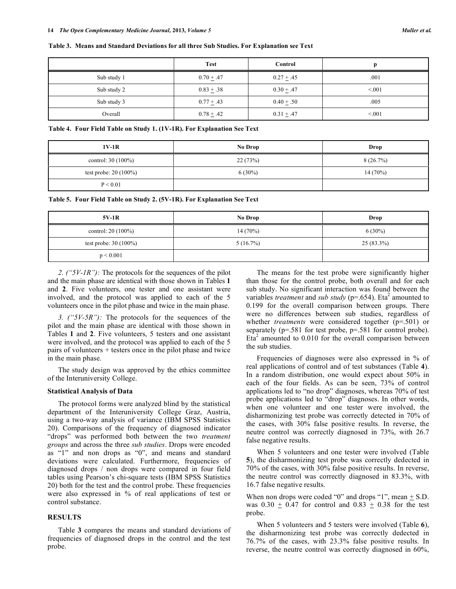#### **Table 3. Means and Standard Deviations for all three Sub Studies. For Explanation see Text**

|             | <b>Test</b>    | Control        |        |
|-------------|----------------|----------------|--------|
| Sub study 1 | $0.70 + .47$   | $0.27 \pm .45$ | .001   |
| Sub study 2 | $0.83 \pm .38$ | $0.30 + .47$   | < 0.01 |
| Sub study 3 | $0.77 \pm .43$ | $0.40 \pm .50$ | .005   |
| Overall     | $0.78 \pm .42$ | $0.31 \pm .47$ | < 0.01 |

**Table 4. Four Field Table on Study 1. (1V-1R). For Explanation See Text**

| $1V-1R$                 | No Drop   | Drop       |
|-------------------------|-----------|------------|
| control: $30(100\%)$    | 22(73%)   | 8(26.7%)   |
| test probe: $20(100\%)$ | $6(30\%)$ | $14(70\%)$ |
| P < 0.01                |           |            |

**Table 5. Four Field Table on Study 2. (5V-1R). For Explanation See Text**

| $5V-1R$                 | No Drop     | Drop         |
|-------------------------|-------------|--------------|
| control: $20(100\%)$    | 14(70%)     | $6(30\%)$    |
| test probe: $30(100\%)$ | $5(16.7\%)$ | $25(83.3\%)$ |
| p < 0.001               |             |              |

*2. ("5V-1R"):* The protocols for the sequences of the pilot and the main phase are identical with those shown in Tables **1** and **2**. Five volunteers, one tester and one assistant were involved, and the protocol was applied to each of the 5 volunteers once in the pilot phase and twice in the main phase.

*3. ("5V-5R"):* The protocols for the sequences of the pilot and the main phase are identical with those shown in Tables **1** and **2**. Five volunteers, 5 testers and one assistant were involved, and the protocol was applied to each of the 5 pairs of volunteers + testers once in the pilot phase and twice in the main phase.

The study design was approved by the ethics committee of the Interuniversity College.

#### **Statistical Analysis of Data**

The protocol forms were analyzed blind by the statistical department of the Interuniversity College Graz, Austria, using a two-way analysis of variance (IBM SPSS Statistics 20). Comparisons of the frequency of diagnosed indicator "drops" was performed both between the two *treatment groups* and across the three *sub studies*. Drops were encoded as "1" and non drops as "0", and means and standard deviations were calculated. Furthermore, frequencies of diagnosed drops / non drops were compared in four field tables using Pearson's chi-square tests (IBM SPSS Statistics 20) both for the test and the control probe. These frequencies were also expressed in % of real applications of test or control substance.

## **RESULTS**

Table **3** compares the means and standard deviations of frequencies of diagnosed drops in the control and the test probe.

The means for the test probe were significantly higher than those for the control probe, both overall and for each sub study. No significant interaction was found between the variables *treatment* and *sub study* (p=.654). Eta <sup>2</sup> amounted to 0.199 for the overall comparison between groups. There were no differences between sub studies, regardless of whether *treatments* were considered together (p=.501) or separately (p=.581 for test probe, p=.581 for control probe). Eta<sup>2</sup> amounted to 0.010 for the overall comparison between the sub studies.

Frequencies of diagnoses were also expressed in % of real applications of control and of test substances (Table **4**). In a random distribution, one would expect about 50% in each of the four fields. As can be seen, 73% of control applications led to "no drop" diagnoses, whereas 70% of test probe applications led to "drop" diagnoses. In other words, when one volunteer and one tester were involved, the disharmonizing test probe was correctly detected in 70% of the cases, with 30% false positive results. In reverse, the neutre control was correctly diagnosed in 73%, with 26.7 false negative results.

When 5 volunteers and one tester were involved (Table **5**), the disharmonizing test probe was correctly dedected in 70% of the cases, with 30% false positive results. In reverse, the neutre control was correctly diagnosed in 83.3%, with 16.7 false negative results.

When non drops were coded "0" and drops "1", mean  $+$  S.D. was  $0.30 \pm 0.47$  for control and  $0.83 \pm 0.38$  for the test probe.

When 5 volunteers and 5 testers were involved (Table **6**), the disharmonizing test probe was correctly dedected in 76.7% of the cases, with 23.3% false positive results. In reverse, the neutre control was correctly diagnosed in 60%,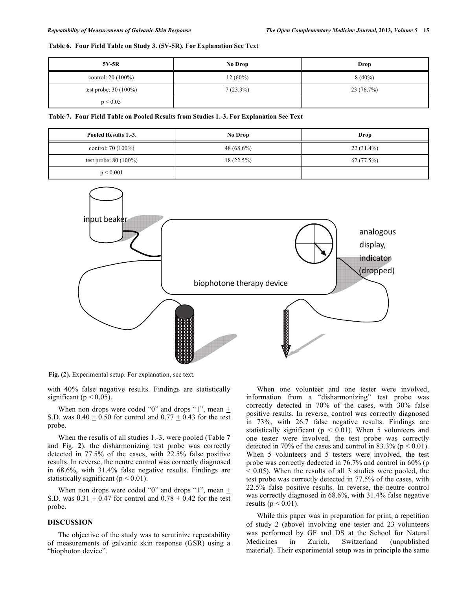# **Table 6. Four Field Table on Study 3. (5V-5R). For Explanation See Text**

| 5V-5R                   | No Drop     | Drop      |
|-------------------------|-------------|-----------|
| control: $20(100\%)$    | $12(60\%)$  | $8(40\%)$ |
| test probe: $30(100\%)$ | $7(23.3\%)$ | 23(76.7%) |
| p < 0.05                |             |           |

**Table 7. Four Field Table on Pooled Results from Studies 1.-3. For Explanation See Text**

| Pooled Results 1.-3.    | No Drop       | Drop         |
|-------------------------|---------------|--------------|
| control: $70(100\%)$    | 48 $(68.6\%)$ | $22(31.4\%)$ |
| test probe: $80(100\%)$ | $18(22.5\%)$  | 62 (77.5%)   |
| p < 0.001               |               |              |



**Fig. (2).** Experimental setup. For explanation, see text.

with 40% false negative results. Findings are statistically significant ( $p < 0.05$ ).

When non drops were coded "0" and drops "1", mean  $+$ S.D. was  $0.40 \pm 0.50$  for control and  $0.77 \pm 0.43$  for the test probe.

When the results of all studies 1.-3. were pooled (Table **7** and Fig. **2**), the disharmonizing test probe was correctly detected in 77.5% of the cases, with 22.5% false positive results. In reverse, the neutre control was correctly diagnosed in 68.6%, with 31.4% false negative results. Findings are statistically significant ( $p < 0.01$ ).

When non drops were coded "0" and drops "1", mean  $+$ S.D. was  $0.31 + 0.47$  for control and  $0.78 + 0.42$  for the test probe.

### **DISCUSSION**

The objective of the study was to scrutinize repeatability of measurements of galvanic skin response (GSR) using a "biophoton device".

When one volunteer and one tester were involved, information from a "disharmonizing" test probe was correctly detected in 70% of the cases, with 30% false positive results. In reverse, control was correctly diagnosed in 73%, with 26.7 false negative results. Findings are statistically significant ( $p < 0.01$ ). When 5 volunteers and one tester were involved, the test probe was correctly detected in 70% of the cases and control in 83.3% ( $p < 0.01$ ). When 5 volunteers and 5 testers were involved, the test probe was correctly dedected in 76.7% and control in 60% (p  $< 0.05$ ). When the results of all 3 studies were pooled, the test probe was correctly detected in 77.5% of the cases, with 22.5% false positive results. In reverse, the neutre control was correctly diagnosed in 68.6%, with 31.4% false negative results ( $p < 0.01$ ).

While this paper was in preparation for print, a repetition of study 2 (above) involving one tester and 23 volunteers was performed by GF and DS at the School for Natural Medicines in Zurich, Switzerland (unpublished material). Their experimental setup was in principle the same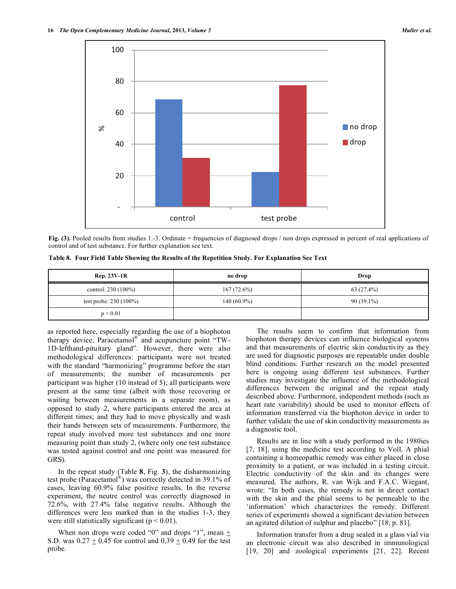

Fig. (3). Pooled results from studies 1.-3. Ordinate = frequencies of diagnosed drops / non drops expressed in percent of real applications of control and of test substance. For further explanation see text.

**Table 8. Four Field Table Showing the Results of the Repetition Study. For Explanation See Text**

| <b>Rep. 23V-1R</b>       | no drop       | Drop         |
|--------------------------|---------------|--------------|
| control: 230 (100%)      | 167(72.6%)    | 63 (27.4%)   |
| test probe: $230(100\%)$ | $140(60.9\%)$ | $90(39.1\%)$ |
| p < 0.01                 |               |              |

as reported here, especially regarding the use of a biophoton therapy device, Paracetamol® and acupuncture point "TW-1D-lefthand-pituitary gland". However, there were also methodological differences: participants were not treated with the standard "harmonizing" programme before the start of measurements; the number of measurements per participant was higher (10 instead of 5); all participants were present at the same time (albeit with those recovering or waiting between measurements in a separate room), as opposed to study 2, where participants entered the area at different times; and they had to move physically and wash their hands between sets of measurements. Furthermore, the repeat study involved more test substances and one more measuring point than study 2, (where only one test substance was tested against control and one point was measured for GRS).

In the repeat study (Table **8**, Fig. **3**), the disharmonizing test probe (Paracetamol®) was correctly detected in 39.1% of cases, leaving 60.9% false positive results. In the reverse experiment, the neutre control was correctly diagnosed in 72.6%, with 27.4% false negative results. Although the differences were less marked than in the studies 1-3, they were still statistically significant ( $p < 0.01$ ).

When non drops were coded "0" and drops "1", mean + S.D. was  $0.27 \pm 0.45$  for control and  $0.39 \pm 0.49$  for the test probe.

The results seem to confirm that information from biophoton therapy devices can influence biological systems and that measurements of electric skin conductivity as they are used for diagnostic purposes are repeatable under double blind conditions. Further research on the model presented here is ongoing using different test substances. Further studies may investigate the influence of the methodological differences between the original and the repeat study described above. Furthermore, independent methods (such as heart rate variability) should be used to monitor effects of information transferred via the biophoton device in order to further validate the use of skin conductivity measurements as a diagnostic tool.

Results are in line with a study performed in the 1980ies [7, 18], using the medicine test according to Voll. A phial containing a homeopathic remedy was either placed in close proximity to a patient, or was included in a testing circuit. Electric conductivity of the skin and its changes were measured. The authors, R. van Wijk and F.A.C. Wiegant, wrote: "In both cases, the remedy is not in direct contact with the skin and the phial seems to be permeable to the 'information' which characterizes the remedy. Different series of experiments showed a significant deviation between an agitated dilution of sulphur and placebo" [18, p. 81].

Information transfer from a drug sealed in a glass vial via an electronic circuit was also described in immunological [19, 20] and zoological experiments [21, 22]. Recent